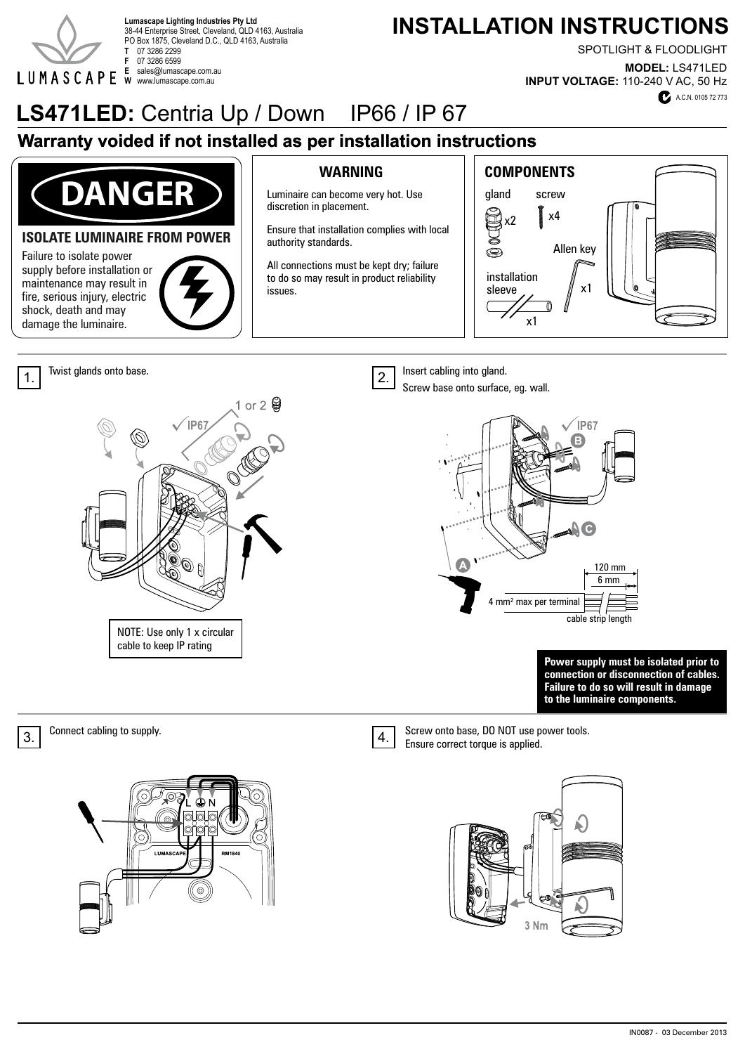

38-44 Enterprise Street, Cleveland, QLD 4163, Australia PO Box 1875, Cleveland D.C., QLD 4163, Australia **T** 07 3286 2299 **F** 07 3286 6599 **E** sales@lumascape.com.au **W** www.lumascape.com.au

# Lumascape Lighting Industries Pty Ltd<br>38-44 Enterprise Street. Cleveland. OLD 4163. Australia **Lumascape Lighting Industries Pty Ltd**

SPOTLIGHT & FLOODLIGHT

**MODEL:** LS471LED **INPUT VOLTAGE:** 110-240 V AC, 50 Hz

# **LS471LED:** Centria Up / Down IP66 / IP 67

# **Warranty voided if not installed as per installation instructions**